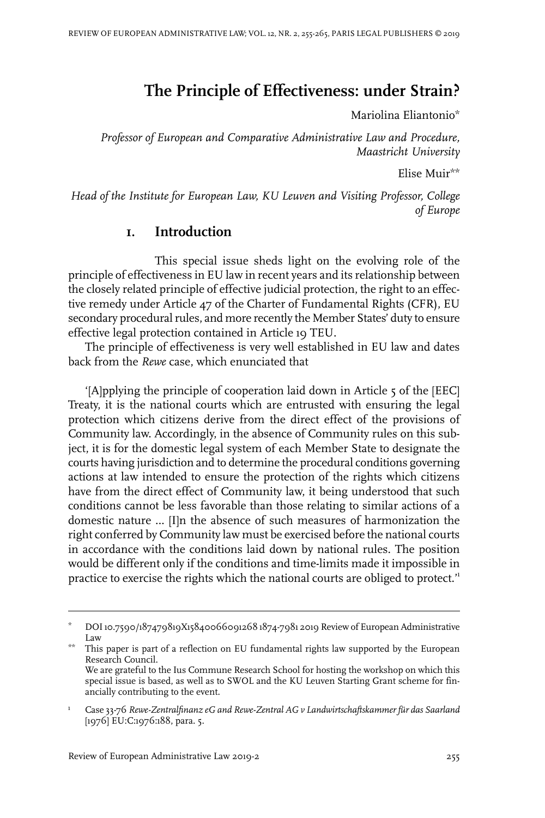# **The Principle of Effectiveness: under Strain?**

Mariolina Eliantonio\*

*Professor of European and Comparative Administrative Law and Procedure, Maastricht University*

Elise Muir\*\*

*Head of the Institute for European Law, KU Leuven and Visiting Professor, College of Europe*

## **1. Introduction**

This special issue sheds light on the evolving role of the principle of effectiveness in EU law in recent years and its relationship between the closely related principle of effective judicial protection, the right to an effective remedy under Article 47 of the Charter of Fundamental Rights (CFR), EU secondary procedural rules, and more recently the Member States' duty to ensure effective legal protection contained in Article 19 TEU.

The principle of effectiveness is very well established in EU law and dates back from the *Rewe* case, which enunciated that

'[A]pplying the principle of cooperation laid down in Article 5 of the [EEC] Treaty, it is the national courts which are entrusted with ensuring the legal protection which citizens derive from the direct effect of the provisions of Community law. Accordingly, in the absence of Community rules on this subject, it is for the domestic legal system of each Member State to designate the courts having jurisdiction and to determine the procedural conditions governing actions at law intended to ensure the protection of the rights which citizens have from the direct effect of Community law, it being understood that such conditions cannot be less favorable than those relating to similar actions of a domestic nature … [I]n the absence of such measures of harmonization the right conferred by Community law must be exercised before the national courts in accordance with the conditions laid down by national rules. The position would be different only if the conditions and time-limits made it impossible in practice to exercise the rights which the national courts are obliged to protect.<sup>11</sup>

DOI 10.7590/187479819X15840066091268 1874-7981 2019 Review of European Administrative Law \*

This paper is part of a reflection on EU fundamental rights law supported by the European Research Council. \*\* We are grateful to the Ius Commune Research School for hosting the workshop on which this special issue is based, as well as to SWOL and the KU Leuven Starting Grant scheme for financially contributing to the event.

Case 33-76 *Rewe-Zentralfinanz eG and Rewe-Zentral AG v Landwirtschaftskammer für das Saarland* [1976] EU:C:1976:188, para. 5. 1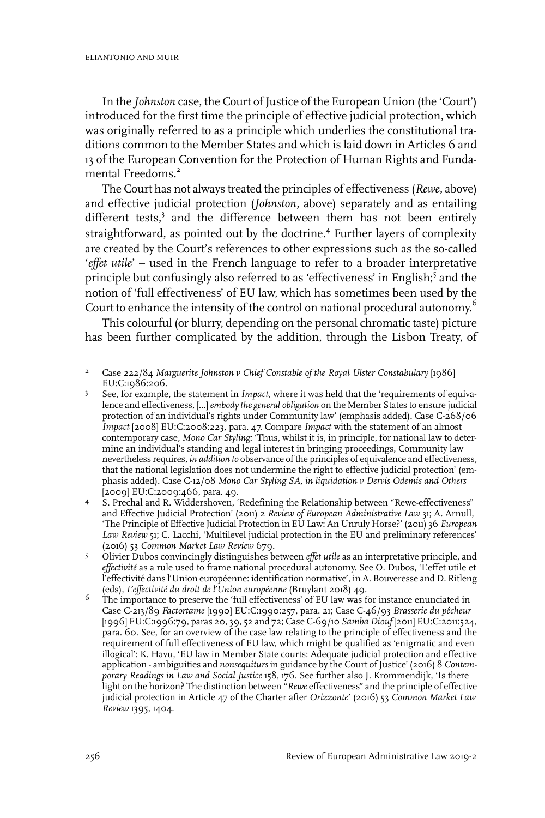In the *Johnston* case, the Court of Justice of the European Union (the 'Court') introduced for the first time the principle of effective judicial protection, which was originally referred to as a principle which underlies the constitutional traditions common to the Member States and which is laid down in Articles 6 and 13 of the European Convention for the Protection of Human Rights and Fundamental Freedoms.<sup>2</sup>

The Court has not always treated the principles of effectiveness (*Rewe,* above) and effective judicial protection (*Johnston,* above) separately and as entailing different tests,<sup>3</sup> and the difference between them has not been entirely straightforward, as pointed out by the doctrine.<sup>4</sup> Further layers of complexity are created by the Court's references to other expressions such as the so-called '*effet utile*' – used in the French language to refer to a broader interpretative principle but confusingly also referred to as 'effectiveness' in English;<sup>5</sup> and the notion of 'full effectiveness' of EU law, which has sometimes been used by the Court to enhance the intensity of the control on national procedural autonomy.<sup>6</sup>

This colourful (or blurry, depending on the personal chromatic taste) picture has been further complicated by the addition, through the Lisbon Treaty, of

Case 222/84 *Marguerite Johnston v Chief Constable of the Royal Ulster Constabulary* [1986] EU:C:1986:206. 2

See, for example, the statement in *Impact,* where it was held that the 'requirements of equivalence and effectiveness, [...]*embody the general obligation* on the Member States to ensure judicial 3 protection of an individual's rights under Community law' (emphasis added). Case C-268/06 *Impact* [2008] EU:C:2008:223, para. 47. Compare *Impact* with the statement of an almost contemporary case, *Mono Car Styling:* 'Thus, whilst it is, in principle, for national law to determine an individual's standing and legal interest in bringing proceedings, Community law nevertheless requires, *in addition to* observance of the principles of equivalence and effectiveness, that the national legislation does not undermine the right to effective judicial protection' (emphasis added). Case C-12/08 *Mono Car Styling SA, in liquidation v Dervis Odemis and Others* [2009] EU:C:2009:466, para. 49.

S. Prechal and R. Widdershoven, 'Redefining the Relationship between "Rewe-effectiveness" and Effective Judicial Protection' (2011) 2 *Review of European Administrative Law* 31; A. Arnull, 4 'The Principle of Effective Judicial Protection in EU Law: An Unruly Horse?' (2011) 36 *European* Law Review<sup>5</sup>1; C. Lacchi, 'Multilevel judicial protection in the EU and preliminary references' (2016) 53 *Common Market Law Review* 679.

Olivier Dubos convincingly distinguishes between *effet utile* as an interpretative principle, and *effectivité* as a rule used to frame national procedural autonomy. See O. Dubos, 'L'effet utile et  $\leq$ l'effectivité dans l'Union européenne: identification normative', in A. Bouveresse and D. Ritleng (eds), *L'effectivité du droit de l'Union européenne* (Bruylant 2018) 49.

The importance to preserve the 'full effectiveness' of EU law was for instance enunciated in Case C-213/89 *Factortame* [1990] EU:C:1990:257, para. 21; Case C-46/93 *Brasserie du pêcheur* 6 [1996] EU:C:1996:79, paras 20, 39, 52 and 72; Case C-69/10 *Samba Diouf* [2011] EU:C:2011:524, para. 60. See, for an overview of the case law relating to the principle of effectiveness and the requirement of full effectiveness of EU law, which might be qualified as 'enigmatic and even illogical': K. Havu, 'EU law in Member State courts: Adequate judicial protection and effective application - ambiguities and *nonsequiturs* in guidance by the Court of Justice' (2016) 8 *Contemporary Readings in Law and Social Justice* 158, 176. See further also J. Krommendijk, 'Is there light on the horizon? The distinction between "*Rewe* effectiveness" and the principle of effective judicial protection in Article 47 of the Charter after *Orizzonte*' (2016) 53 *Common Market Law Review* 1395, 1404.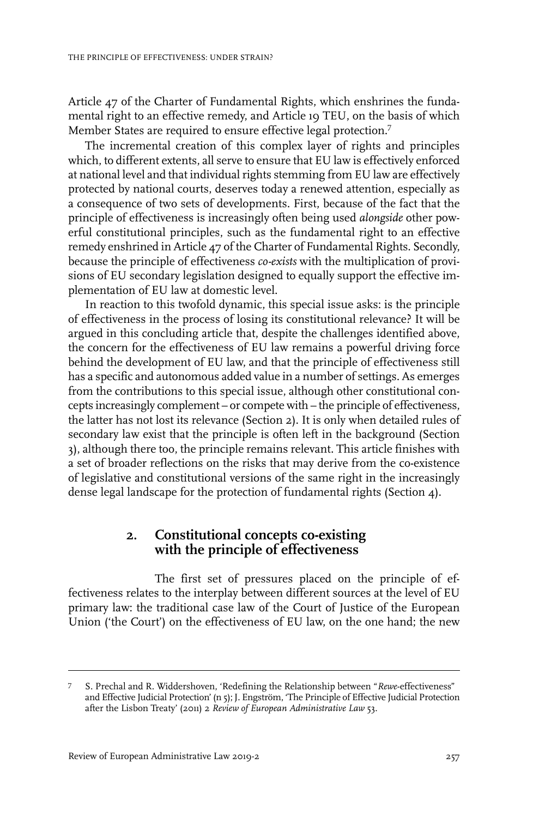Article 47 of the Charter of Fundamental Rights, which enshrines the fundamental right to an effective remedy, and Article 19 TEU, on the basis of which Member States are required to ensure effective legal protection.<sup>7</sup>

The incremental creation of this complex layer of rights and principles which, to different extents, all serve to ensure that EU law is effectively enforced at national level and that individual rights stemming from EU law are effectively protected by national courts, deserves today a renewed attention, especially as a consequence of two sets of developments. First, because of the fact that the principle of effectiveness is increasingly often being used *alongside* other powerful constitutional principles, such as the fundamental right to an effective remedy enshrined in Article 47 of the Charter of Fundamental Rights. Secondly, because the principle of effectiveness *co-exists* with the multiplication of provisions of EU secondary legislation designed to equally support the effective implementation of EU law at domestic level.

In reaction to this twofold dynamic, this special issue asks: is the principle of effectiveness in the process of losing its constitutional relevance? It will be argued in this concluding article that, despite the challenges identified above, the concern for the effectiveness of EU law remains a powerful driving force behind the development of EU law, and that the principle of effectiveness still has a specific and autonomous added value in a number of settings. As emerges from the contributions to this special issue, although other constitutional concepts increasingly complement – or compete with – the principle of effectiveness, the latter has not lost its relevance (Section 2). It is only when detailed rules of secondary law exist that the principle is often left in the background (Section 3), although there too, the principle remains relevant. This article finishes with a set of broader reflections on the risks that may derive from the co-existence of legislative and constitutional versions of the same right in the increasingly dense legal landscape for the protection of fundamental rights (Section 4).

#### **2. Constitutional concepts co-existing with the principle of effectiveness**

The first set of pressures placed on the principle of effectiveness relates to the interplay between different sources at the level of EU primary law: the traditional case law of the Court of Justice of the European Union ('the Court') on the effectiveness of EU law, on the one hand; the new

S. Prechal and R. Widdershoven, 'Redefining the Relationship between "*Rewe*-effectiveness" and Effective Judicial Protection' (n 5); J. Engström, 'The Principle of Effective Judicial Protection after the Lisbon Treaty' (2011) 2 *Review of European Administrative Law* 53. 7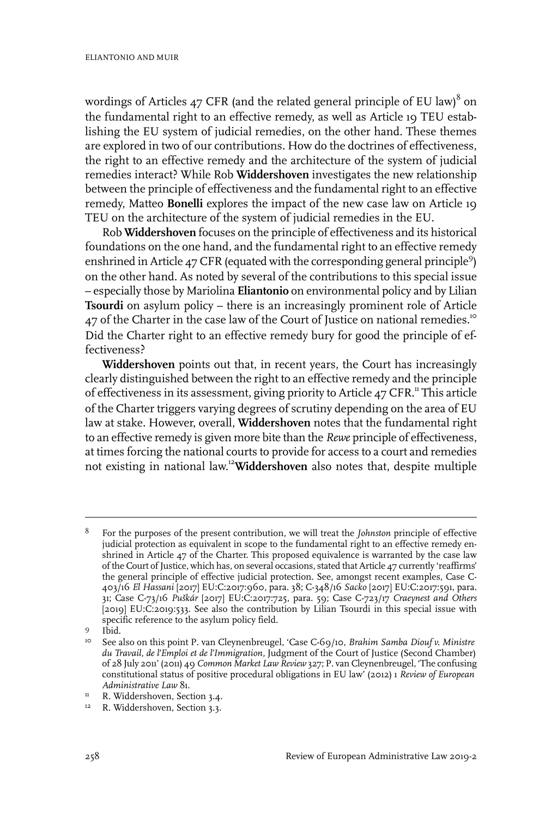wordings of Articles 47 CFR (and the related general principle of EU law) $^8$  on the fundamental right to an effective remedy, as well as Article 19 TEU establishing the EU system of judicial remedies, on the other hand. These themes are explored in two of our contributions. How do the doctrines of effectiveness, the right to an effective remedy and the architecture of the system of judicial remedies interact? While Rob **Widdershoven** investigates the new relationship between the principle of effectiveness and the fundamental right to an effective remedy, Matteo **Bonelli** explores the impact of the new case law on Article 19 TEU on the architecture of the system of judicial remedies in the EU.

Rob **Widdershoven** focuses on the principle of effectiveness and its historical foundations on the one hand, and the fundamental right to an effective remedy enshrined in Article 47 CFR (equated with the corresponding general principle<sup>9</sup>) on the other hand. As noted by several of the contributions to this special issue – especially those by Mariolina **Eliantonio** on environmental policy and by Lilian **Tsourdi** on asylum policy – there is an increasingly prominent role of Article 47 of the Charter in the case law of the Court of Justice on national remedies.<sup>10</sup> Did the Charter right to an effective remedy bury for good the principle of effectiveness?

**Widdershoven** points out that, in recent years, the Court has increasingly clearly distinguished between the right to an effective remedy and the principle of effectiveness in its assessment, giving priority to Article 47 CFR.<sup>11</sup> This article of the Charter triggers varying degrees of scrutiny depending on the area of EU law at stake. However, overall, **Widdershoven** notes that the fundamental right to an effective remedy is given more bite than the *Rewe* principle of effectiveness, at times forcing the national courts to provide for access to a court and remedies not existing in national law. <sup>12</sup>**Widdershoven** also notes that, despite multiple

For the purposes of the present contribution, we will treat the *Johnston* principle of effective judicial protection as equivalent in scope to the fundamental right to an effective remedy en-8 shrined in Article  $47$  of the Charter. This proposed equivalence is warranted by the case law of the Court of Justice, which has, on several occasions, stated that Article 47 currently 'reaffirms' the general principle of effective judicial protection. See, amongst recent examples, Case C-403/16 *El Hassani* [2017] EU:C:2017:960, para. 38; C-348/16 *Sacko* [2017] EU:C:2017:591, para. 31; Case C-73/16 *Puškár* [2017] EU:C:2017:725, para. 59; Case C-723/17 *Craeynest and Others* [2019] EU:C:2019:533. See also the contribution by Lilian Tsourdi in this special issue with specific reference to the asylum policy field.

<sup>9</sup> Ibid.

<sup>&</sup>lt;sup>10</sup> See also on this point P. van Cleynenbreugel, 'Case C-69/10, *Brahim Samba Diouf v. Ministre du Travail, de l'Emploi et de l'Immigration,* Judgment of the Court of Justice (Second Chamber) of 28 July 2011' (2011) 49 *Common Market Law Review* 327; P. van Cleynenbreugel, 'The confusing constitutional status of positive procedural obligations in EU law' (2012) 1 *Review of European Administrative Law* 81.

<sup>&</sup>lt;sup>11</sup> R. Widdershoven, Section 3.4.

<sup>&</sup>lt;sup>12</sup> R. Widdershoven, Section 3.3.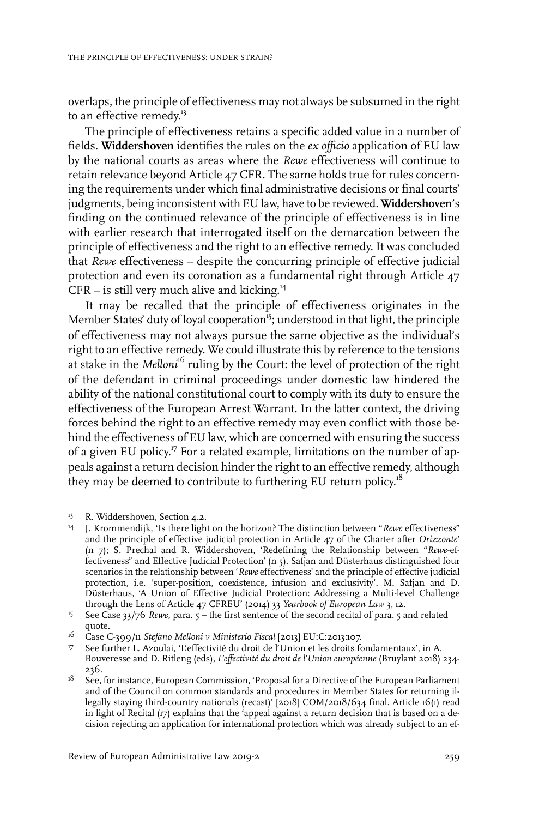overlaps, the principle of effectiveness may not always be subsumed in the right to an effective remedy.<sup>13</sup>

The principle of effectiveness retains a specific added value in a number of fields. **Widdershoven** identifies the rules on the *ex officio* application of EU law by the national courts as areas where the *Rewe* effectiveness will continue to retain relevance beyond Article 47 CFR. The same holds true for rules concerning the requirements under which final administrative decisions or final courts' judgments, being inconsistent with EU law, have to be reviewed. **Widdershoven**'s finding on the continued relevance of the principle of effectiveness is in line with earlier research that interrogated itself on the demarcation between the principle of effectiveness and the right to an effective remedy. It was concluded that *Rewe* effectiveness – despite the concurring principle of effective judicial protection and even its coronation as a fundamental right through Article 47  $CFR -$  is still very much alive and kicking.<sup>14</sup>

It may be recalled that the principle of effectiveness originates in the Member States' duty of loyal cooperation<sup>15</sup>; understood in that light, the principle of effectiveness may not always pursue the same objective as the individual's right to an effective remedy. We could illustrate this by reference to the tensions at stake in the *Melloni*<sup>16</sup> ruling by the Court: the level of protection of the right of the defendant in criminal proceedings under domestic law hindered the ability of the national constitutional court to comply with its duty to ensure the effectiveness of the European Arrest Warrant. In the latter context, the driving forces behind the right to an effective remedy may even conflict with those behind the effectiveness of EU law, which are concerned with ensuring the success of a given EU policy.<sup>17</sup> For a related example, limitations on the number of appeals against a return decision hinder the right to an effective remedy, although they may be deemed to contribute to furthering EU return policy.<sup>18</sup>

<sup>&</sup>lt;sup>13</sup> R. Widdershoven, Section 4.2.

<sup>&</sup>lt;sup>14</sup> J. Krommendijk, 'Is there light on the horizon? The distinction between "Rewe effectiveness" and the principle of effective judicial protection in Article 47 of the Charter after *Orizzonte*' (n 7); S. Prechal and R. Widdershoven, 'Redefining the Relationship between "*Rewe-*effectiveness" and Effective Judicial Protection' (n 5). Safjan and Düsterhaus distinguished four scenarios in the relationship between '*Rewe* effectiveness' and the principle of effective judicial protection, i.e. 'super-position, coexistence, infusion and exclusivity'. M. Safjan and D. Düsterhaus, 'A Union of Effective Judicial Protection: Addressing a Multi-level Challenge through the Lens of Article 47 CFREU' (2014) 33 *Yearbook of European Law* 3, 12.

See Case 33/76 *Rewe*, para. 5 – the first sentence of the second recital of para. 5 and related quote. 15

Case C-399/11 *Stefano Melloni v Ministerio Fiscal* [2013] EU:C:2013:107. 16

<sup>&</sup>lt;sup>17</sup> See further L. Azoulai, 'L'effectivité du droit de l'Union et les droits fondamentaux', in A. Bouveresse and D. Ritleng (eds), *L'effectivité du droit de l'Union européenne* (Bruylant 2018) 234- 236.

See, for instance, European Commission, 'Proposal for a Directive of the European Parliament and of the Council on common standards and procedures in Member States for returning il-18 legally staying third-country nationals (recast)' [2018] COM/2018/634 final. Article 16(1) read in light of Recital (17) explains that the 'appeal against a return decision that is based on a decision rejecting an application for international protection which was already subject to an ef-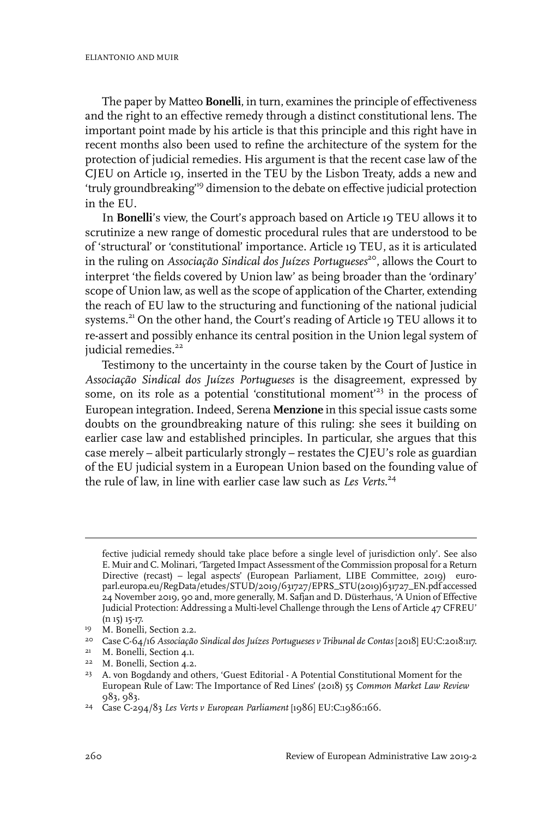The paper by Matteo **Bonelli**, in turn, examines the principle of effectiveness and the right to an effective remedy through a distinct constitutional lens. The important point made by his article is that this principle and this right have in recent months also been used to refine the architecture of the system for the protection of judicial remedies. His argument is that the recent case law of the CJEU on Article 19, inserted in the TEU by the Lisbon Treaty, adds a new and 'truly groundbreaking<sup>19</sup> dimension to the debate on effective judicial protection in the EU.

In **Bonelli**'s view, the Court's approach based on Article 19 TEU allows it to scrutinize a new range of domestic procedural rules that are understood to be of 'structural' or 'constitutional' importance. Article 19 TEU, as it is articulated in the ruling on *Associação Sindical dos Juízes Portugueses*<sup>20</sup> , allows the Court to interpret 'the fields covered by Union law' as being broader than the 'ordinary' scope of Union law, as well as the scope of application of the Charter, extending the reach of EU law to the structuring and functioning of the national judicial systems.<sup>21</sup> On the other hand, the Court's reading of Article 19 TEU allows it to re-assert and possibly enhance its central position in the Union legal system of judicial remedies.<sup>22</sup>

Testimony to the uncertainty in the course taken by the Court of Justice in *Associação Sindical dos Juízes Portugueses* is the disagreement, expressed by some, on its role as a potential 'constitutional moment'<sup>23</sup> in the process of European integration. Indeed, Serena **Menzione** in this special issue casts some doubts on the groundbreaking nature of this ruling: she sees it building on earlier case law and established principles. In particular, she argues that this case merely – albeit particularly strongly – restates the CJEU's role as guardian of the EU judicial system in a European Union based on the founding value of the rule of law, in line with earlier case law such as *Les Verts*. 24

fective judicial remedy should take place before a single level of jurisdiction only'. See also E. Muir and C. Molinari, 'Targeted Impact Assessment of the Commission proposal for a Return Directive (recast) – legal aspects' (European Parliament, LIBE Committee, 2019) europarl.europa.eu/RegData/etudes/STUD/2019/631727/EPRS\_STU(2019)631727\_EN.pdf accessed 24 November 2019, 90 and, more generally, M. Safjan and D. Düsterhaus, 'A Union of Effective Judicial Protection: Addressing a Multi-level Challenge through the Lens of Article 47 CFREU' (n 15) 15-17.

<sup>&</sup>lt;sup>19</sup> M. Bonelli, Section 2.2.

Case C-64/16 *Associação Sindical dos Juízes Portugueses v Tribunal de Contas* [2018] EU:C:2018:117. 20

<sup>&</sup>lt;sup>21</sup> M. Bonelli, Section 4.1.

<sup>&</sup>lt;sup>22</sup> M. Bonelli, Section 4.2.

<sup>&</sup>lt;sup>23</sup> A. von Bogdandy and others, 'Guest Editorial - A Potential Constitutional Moment for the European Rule of Law: The Importance of Red Lines' (2018) 55 *Common Market Law Review* 983, 983.

Case C-294/83 *Les Verts v European Parliament* [1986] EU:C:1986:166. <sup>24</sup>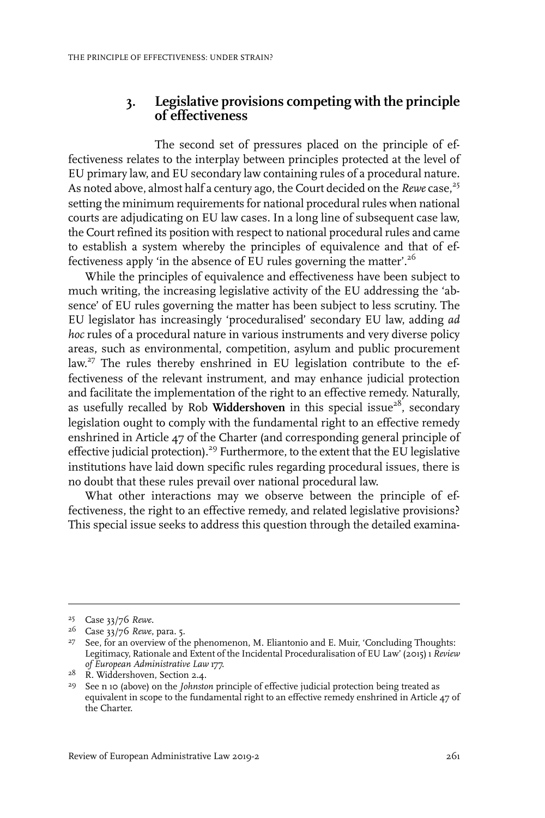### **3. Legislative provisions competing with the principle of effectiveness**

The second set of pressures placed on the principle of effectiveness relates to the interplay between principles protected at the level of EU primary law, and EU secondary law containing rules of a procedural nature. As noted above, almost half a century ago, the Court decided on the *Rewe* case,<sup>25</sup> setting the minimum requirements for national procedural rules when national courts are adjudicating on EU law cases. In a long line of subsequent case law, the Court refined its position with respect to national procedural rules and came to establish a system whereby the principles of equivalence and that of effectiveness apply 'in the absence of EU rules governing the matter'.<sup>26</sup>

While the principles of equivalence and effectiveness have been subject to much writing, the increasing legislative activity of the EU addressing the 'absence' of EU rules governing the matter has been subject to less scrutiny. The EU legislator has increasingly 'proceduralised' secondary EU law, adding *ad hoc* rules of a procedural nature in various instruments and very diverse policy areas, such as environmental, competition, asylum and public procurement law.<sup>27</sup> The rules thereby enshrined in EU legislation contribute to the effectiveness of the relevant instrument, and may enhance judicial protection and facilitate the implementation of the right to an effective remedy. Naturally, as usefully recalled by Rob **Widdershoven** in this special issue<sup>28</sup>, secondary legislation ought to comply with the fundamental right to an effective remedy enshrined in Article 47 of the Charter (and corresponding general principle of effective judicial protection).<sup>29</sup> Furthermore, to the extent that the EU legislative institutions have laid down specific rules regarding procedural issues, there is no doubt that these rules prevail over national procedural law.

What other interactions may we observe between the principle of effectiveness, the right to an effective remedy, and related legislative provisions? This special issue seeks to address this question through the detailed examina-

Case 33/76 *Rewe*. 25

<sup>&</sup>lt;sup>26</sup> Case 33/76 Rewe, para. 5.

<sup>&</sup>lt;sup>27</sup> See, for an overview of the phenomenon, M. Eliantonio and E. Muir, 'Concluding Thoughts: Legitimacy, Rationale and Extent of the Incidental Proceduralisation of EU Law' (2015) 1 *Review of European Administrative Law* 177.

<sup>&</sup>lt;sup>28</sup> R. Widdershoven, Section 2.4.

<sup>&</sup>lt;sup>29</sup> See n 10 (above) on the *Johnston* principle of effective judicial protection being treated as equivalent in scope to the fundamental right to an effective remedy enshrined in Article 47 of the Charter.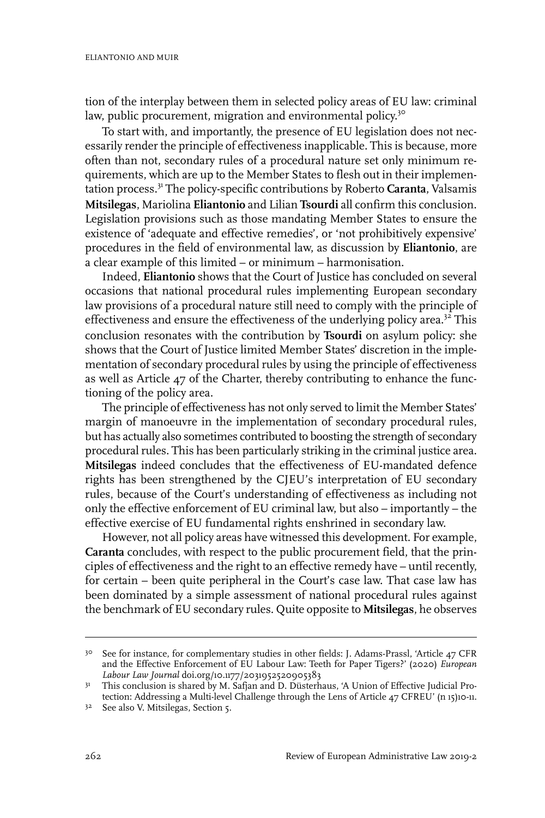tion of the interplay between them in selected policy areas of EU law: criminal law, public procurement, migration and environmental policy.<sup>30</sup>

To start with, and importantly, the presence of EU legislation does not necessarily render the principle of effectiveness inapplicable. This is because, more often than not, secondary rules of a procedural nature set only minimum requirements, which are up to the Member States to flesh out in their implementation process.<sup>31</sup> The policy-specific contributions by Roberto **Caranta**, Valsamis **Mitsilegas**, Mariolina **Eliantonio** and Lilian **Tsourdi** all confirm this conclusion. Legislation provisions such as those mandating Member States to ensure the existence of 'adequate and effective remedies', or 'not prohibitively expensive' procedures in the field of environmental law, as discussion by **Eliantonio**, are a clear example of this limited – or minimum – harmonisation.

Indeed, **Eliantonio** shows that the Court of Justice has concluded on several occasions that national procedural rules implementing European secondary law provisions of a procedural nature still need to comply with the principle of effectiveness and ensure the effectiveness of the underlying policy area.<sup>32</sup> This conclusion resonates with the contribution by **Tsourdi** on asylum policy: she shows that the Court of Justice limited Member States' discretion in the implementation of secondary procedural rules by using the principle of effectiveness as well as Article 47 of the Charter, thereby contributing to enhance the functioning of the policy area.

The principle of effectiveness has not only served to limit the Member States' margin of manoeuvre in the implementation of secondary procedural rules, but has actually also sometimes contributed to boosting the strength of secondary procedural rules. This has been particularly striking in the criminal justice area. **Mitsilegas** indeed concludes that the effectiveness of EU-mandated defence rights has been strengthened by the CJEU's interpretation of EU secondary rules, because of the Court's understanding of effectiveness as including not only the effective enforcement of EU criminal law, but also – importantly – the effective exercise of EU fundamental rights enshrined in secondary law.

However, not all policy areas have witnessed this development. For example, **Caranta** concludes, with respect to the public procurement field, that the principles of effectiveness and the right to an effective remedy have – until recently, for certain – been quite peripheral in the Court's case law. That case law has been dominated by a simple assessment of national procedural rules against the benchmark of EU secondary rules. Quite opposite to **Mitsilegas**, he observes

<sup>&</sup>lt;sup>30</sup> See for instance, for complementary studies in other fields: J. Adams-Prassl, 'Article 47 CFR and the Effective Enforcement of EU Labour Law: Teeth for Paper Tigers?' (2020) *European Labour Law Journal* doi.org/10.1177/2031952520905383

<sup>&</sup>lt;sup>31</sup> This conclusion is shared by M. Safjan and D. Düsterhaus, 'A Union of Effective Judicial Protection: Addressing a Multi-level Challenge through the Lens of Article 47 CFREU' (n 15)10-11.

<sup>&</sup>lt;sup>32</sup> See also V. Mitsilegas, Section 5.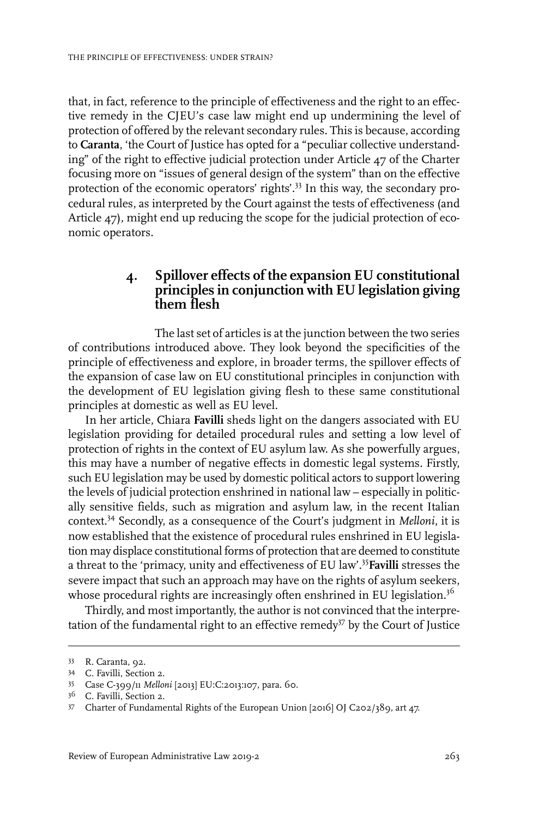that, in fact, reference to the principle of effectiveness and the right to an effective remedy in the CJEU's case law might end up undermining the level of protection of offered by the relevant secondary rules. This is because, according to **Caranta**, 'the Court of Justice has opted for a "peculiar collective understanding" of the right to effective judicial protection under Article 47 of the Charter focusing more on "issues of general design of the system" than on the effective protection of the economic operators' rights'.<sup>33</sup> In this way, the secondary procedural rules, as interpreted by the Court against the tests of effectiveness (and Article 47), might end up reducing the scope for the judicial protection of economic operators.

#### **4. Spillover effects of the expansion EU constitutional principles in conjunction with EU legislation giving them flesh**

The last set of articles is at the junction between the two series of contributions introduced above. They look beyond the specificities of the principle of effectiveness and explore, in broader terms, the spillover effects of the expansion of case law on EU constitutional principles in conjunction with the development of EU legislation giving flesh to these same constitutional principles at domestic as well as EU level.

In her article, Chiara **Favilli** sheds light on the dangers associated with EU legislation providing for detailed procedural rules and setting a low level of protection of rights in the context of EU asylum law. As she powerfully argues, this may have a number of negative effects in domestic legal systems. Firstly, such EU legislation may be used by domestic political actors to support lowering the levels of judicial protection enshrined in national law – especially in politically sensitive fields, such as migration and asylum law, in the recent Italian context.<sup>34</sup> Secondly, as a consequence of the Court's judgment in *Melloni*, it is now established that the existence of procedural rules enshrined in EU legislation may displace constitutional forms of protection that are deemed to constitute a threat to the 'primacy, unity and effectiveness of EU law'.<sup>35</sup>**Favilli** stresses the severe impact that such an approach may have on the rights of asylum seekers, whose procedural rights are increasingly often enshrined in EU legislation.<sup>36</sup>

Thirdly, and most importantly, the author is not convinced that the interpretation of the fundamental right to an effective remedy<sup>37</sup> by the Court of Justice

<sup>33</sup> R. Caranta, 92.

C. Favilli, Section 2. <sup>34</sup>

Case C-399/11 *Melloni* [2013] EU:C:2013:107, para. 60. <sup>35</sup>

C. Favilli, Section 2. <sup>36</sup>

Charter of Fundamental Rights of the European Union [2016] OJ C202/389, art 47. 37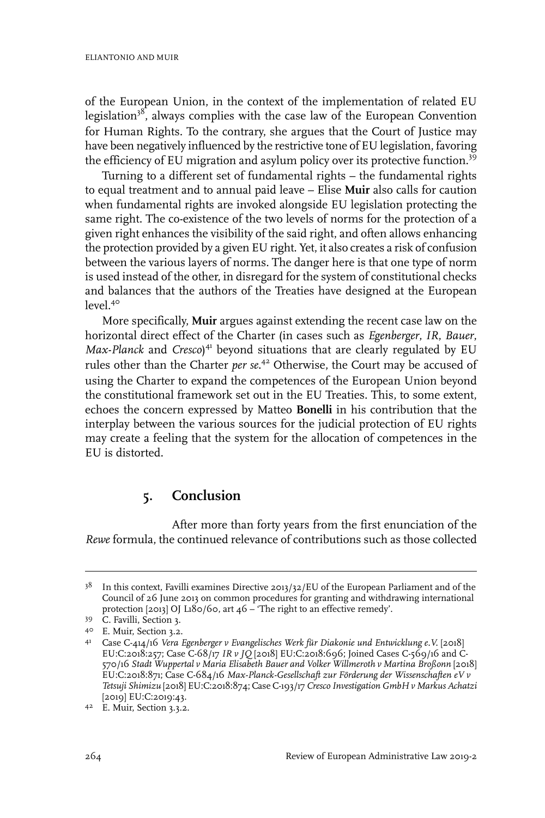of the European Union, in the context of the implementation of related EU legislation<sup>38</sup>, always complies with the case law of the European Convention for Human Rights. To the contrary, she argues that the Court of Justice may have been negatively influenced by the restrictive tone of EU legislation, favoring the efficiency of EU migration and asylum policy over its protective function.<sup>39</sup>

Turning to a different set of fundamental rights – the fundamental rights to equal treatment and to annual paid leave – Elise **Muir** also calls for caution when fundamental rights are invoked alongside EU legislation protecting the same right. The co-existence of the two levels of norms for the protection of a given right enhances the visibility of the said right, and often allows enhancing the protection provided by a given EU right. Yet, it also creates a risk of confusion between the various layers of norms. The danger here is that one type of norm is used instead of the other, in disregard for the system of constitutional checks and balances that the authors of the Treaties have designed at the European  $level<sup>40</sup>$ 

More specifically, **Muir** argues against extending the recent case law on the horizontal direct effect of the Charter (in cases such as *Egenberger*, *IR*, *Bauer*, *Max-Planck* and *Cresco*) <sup>41</sup> beyond situations that are clearly regulated by EU rules other than the Charter *per se*. <sup>42</sup> Otherwise, the Court may be accused of using the Charter to expand the competences of the European Union beyond the constitutional framework set out in the EU Treaties. This, to some extent, echoes the concern expressed by Matteo **Bonelli** in his contribution that the interplay between the various sources for the judicial protection of EU rights may create a feeling that the system for the allocation of competences in the EU is distorted.

## **5. Conclusion**

After more than forty years from the first enunciation of the *Rewe* formula, the continued relevance of contributions such as those collected

 $3^8$  In this context, Favilli examines Directive 2013/32/EU of the European Parliament and of the Council of 26 June 2013 on common procedures for granting and withdrawing international protection [2013] OJ L180/60, art 46 – 'The right to an effective remedy'.

<sup>39</sup> C. Favilli, Section 3.

E. Muir, Section 3.2. <sup>40</sup>

Case C-414/16 *Vera Egenberger v Evangelisches Werk für Diakonie und Entwicklung e.V.* [2018] 41 EU:C:2018:257; Case C-68/17 *IR v JQ* [2018] EU:C:2018:696; Joined Cases C-569/16 and C-570/16 *Stadt Wuppertal v Maria Elisabeth Bauer and Volker Willmeroth v Martina Broßonn* [2018] EU:C:2018:871; Case C-684/16 *Max-Planck-Gesellschaft zur Förderung der Wissenschaften eV v Tetsuji Shimizu* [2018] EU:C:2018:874; Case C-193/17 *Cresco Investigation GmbH v Markus Achatzi* [2019] EU:C:2019:43.

<sup>4&</sup>lt;sup>2</sup> E. Muir, Section 3.3.2.